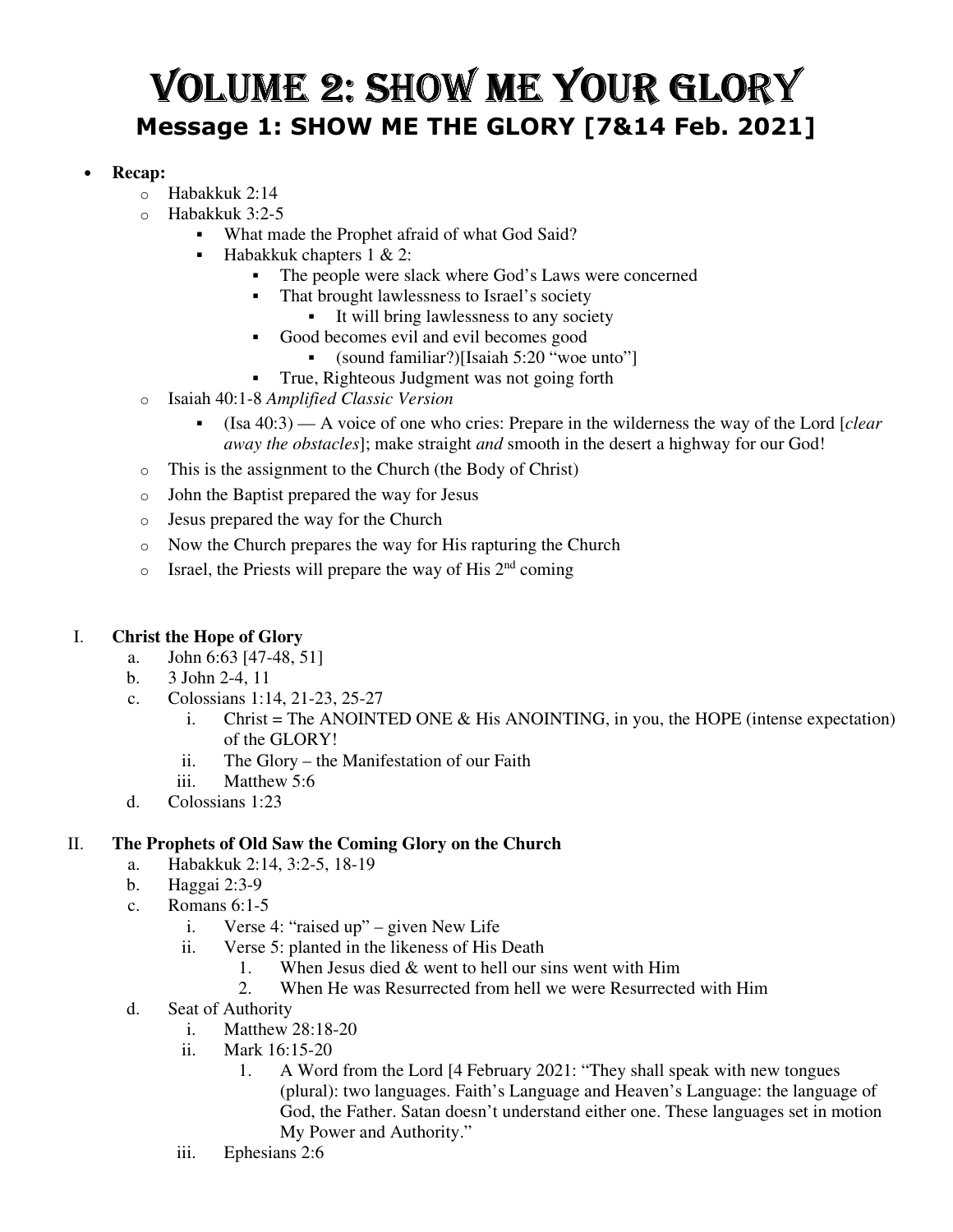# VOLUME 2: SHOW ME YOUR GLORY **Message 1: SHOW ME THE GLORY [7&14 Feb. 2021]**

### • **Recap:**

- o Habakkuk 2:14
- Habakkuk 3:2-5
	- What made the Prophet afraid of what God Said?
	- **Habakkuk chapters 1 & 2:** 
		- The people were slack where God's Laws were concerned
		- That brought lawlessness to Israel's society
			- It will bring lawlessness to any society
		- Good becomes evil and evil becomes good
			- (sound familiar?)[Isaiah 5:20 "woe unto"]
			- True, Righteous Judgment was not going forth
- o Isaiah 40:1-8 *Amplified Classic Version*
	- (Isa 40:3) A voice of one who cries: Prepare in the wilderness the way of the Lord [*clear away the obstacles*]; make straight *and* smooth in the desert a highway for our God!
- o This is the assignment to the Church (the Body of Christ)
- o John the Baptist prepared the way for Jesus
- o Jesus prepared the way for the Church
- o Now the Church prepares the way for His rapturing the Church
- $\circ$  Israel, the Priests will prepare the way of His 2<sup>nd</sup> coming

# I. **Christ the Hope of Glory**

- a. John 6:63 [47-48, 51]
- b. 3 John 2-4, 11
- c. Colossians 1:14, 21-23, 25-27
	- i. Christ = The ANOINTED ONE  $&$  His ANOINTING, in you, the HOPE (intense expectation) of the GLORY!
	- ii. The Glory the Manifestation of our Faith
	- iii. Matthew 5:6
- d. Colossians 1:23

# II. **The Prophets of Old Saw the Coming Glory on the Church**

- a. Habakkuk 2:14, 3:2-5, 18-19
- b. Haggai 2:3-9
- c. Romans 6:1-5
	- i. Verse 4: "raised up" given New Life
	- ii. Verse 5: planted in the likeness of His Death
		- 1. When Jesus died & went to hell our sins went with Him
		- 2. When He was Resurrected from hell we were Resurrected with Him
- d. Seat of Authority
	- i. Matthew 28:18-20
	- ii. Mark 16:15-20
		- 1. A Word from the Lord [4 February 2021: "They shall speak with new tongues (plural): two languages. Faith's Language and Heaven's Language: the language of God, the Father. Satan doesn't understand either one. These languages set in motion My Power and Authority."
	- iii. Ephesians 2:6